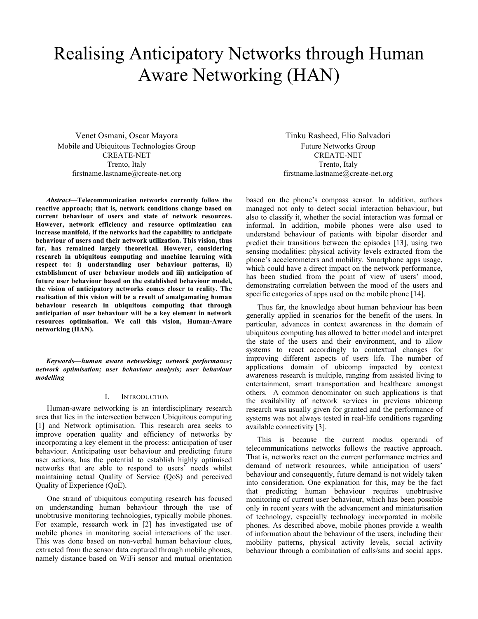# Realising Anticipatory Networks through Human Aware Networking (HAN)

Venet Osmani, Oscar Mayora Mobile and Ubiquitous Technologies Group CREATE-NET Trento, Italy firstname.lastname@create-net.org

*Abstract***—Telecommunication networks currently follow the reactive approach; that is, network conditions change based on current behaviour of users and state of network resources. However, network efficiency and resource optimization can increase manifold, if the networks had the capability to anticipate behaviour of users and their network utilization. This vision, thus far, has remained largely theoretical. However, considering research in ubiquitous computing and machine learning with respect to: i) understanding user behaviour patterns, ii) establishment of user behaviour models and iii) anticipation of future user behaviour based on the established behaviour model, the vision of anticipatory networks comes closer to reality. The realisation of this vision will be a result of amalgamating human behaviour research in ubiquitous computing that through anticipation of user behaviour will be a key element in network resources optimisation. We call this vision, Human-Aware networking (HAN).**

*Keywords—human aware networking; network performance; network optimisation; user behaviour analysis; user behaviour modelling*

#### I. INTRODUCTION

Human-aware networking is an interdisciplinary research area that lies in the intersection between Ubiquitous computing [1] and Network optimisation. This research area seeks to improve operation quality and efficiency of networks by incorporating a key element in the process: anticipation of user behaviour. Anticipating user behaviour and predicting future user actions, has the potential to establish highly optimised networks that are able to respond to users' needs whilst maintaining actual Quality of Service (QoS) and perceived Quality of Experience (QoE).

One strand of ubiquitous computing research has focused on understanding human behaviour through the use of unobtrusive monitoring technologies, typically mobile phones. For example, research work in [2] has investigated use of mobile phones in monitoring social interactions of the user. This was done based on non-verbal human behaviour clues, extracted from the sensor data captured through mobile phones, namely distance based on WiFi sensor and mutual orientation

Tinku Rasheed, Elio Salvadori Future Networks Group CREATE-NET Trento, Italy firstname.lastname@create-net.org

based on the phone's compass sensor. In addition, authors managed not only to detect social interaction behaviour, but also to classify it, whether the social interaction was formal or informal. In addition, mobile phones were also used to understand behaviour of patients with bipolar disorder and predict their transitions between the episodes [13], using two sensing modalities: physical activity levels extracted from the phone's accelerometers and mobility. Smartphone apps usage, which could have a direct impact on the network performance, has been studied from the point of view of users' mood, demonstrating correlation between the mood of the users and specific categories of apps used on the mobile phone [14].

Thus far, the knowledge about human behaviour has been generally applied in scenarios for the benefit of the users. In particular, advances in context awareness in the domain of ubiquitous computing has allowed to better model and interpret the state of the users and their environment, and to allow systems to react accordingly to contextual changes for improving different aspects of users life. The number of applications domain of ubicomp impacted by context awareness research is multiple, ranging from assisted living to entertainment, smart transportation and healthcare amongst others. A common denominator on such applications is that the availability of network services in previous ubicomp research was usually given for granted and the performance of systems was not always tested in real-life conditions regarding available connectivity [3].

This is because the current modus operandi of telecommunications networks follows the reactive approach. That is, networks react on the current performance metrics and demand of network resources, while anticipation of users' behaviour and consequently, future demand is not widely taken into consideration. One explanation for this, may be the fact that predicting human behaviour requires unobtrusive monitoring of current user behaviour, which has been possible only in recent years with the advancement and miniaturisation of technology, especially technology incorporated in mobile phones. As described above, mobile phones provide a wealth of information about the behaviour of the users, including their mobility patterns, physical activity levels, social activity behaviour through a combination of calls/sms and social apps.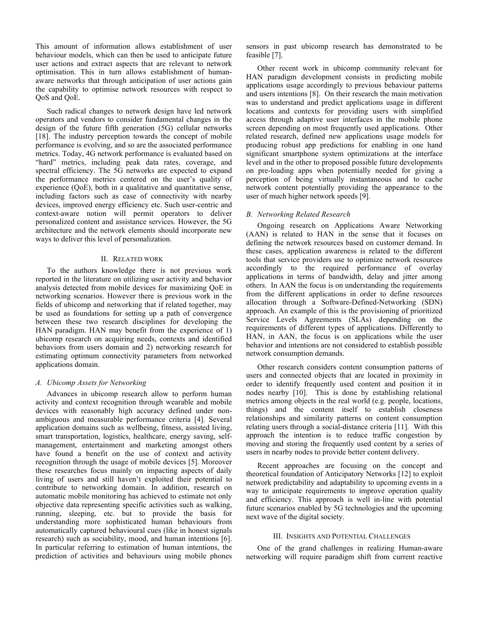This amount of information allows establishment of user behaviour models, which can then be used to anticipate future user actions and extract aspects that are relevant to network optimisation. This in turn allows establishment of humanaware networks that through anticipation of user actions gain the capability to optimise network resources with respect to QoS and QoE.

Such radical changes to network design have led network operators and vendors to consider fundamental changes in the design of the future fifth generation (5G) cellular networks [18]. The industry perception towards the concept of mobile performance is evolving, and so are the associated performance metrics. Today, 4G network performance is evaluated based on "hard" metrics, including peak data rates, coverage, and spectral efficiency. The 5G networks are expected to expand the performance metrics centered on the user's quality of experience (QoE), both in a qualitative and quantitative sense, including factors such as ease of connectivity with nearby devices, improved energy efficiency etc. Such user-centric and context-aware notion will permit operators to deliver personalized content and assistance services. However, the 5G architecture and the network elements should incorporate new ways to deliver this level of personalization.

## II. RELATED WORK

To the authors knowledge there is not previous work reported in the literature on utilizing user activity and behavior analysis detected from mobile devices for maximizing QoE in networking scenarios. However there is previous work in the fields of ubicomp and networking that if related together, may be used as foundations for setting up a path of convergence between these two research disciplines for developing the HAN paradigm. HAN may benefit from the experience of 1) ubicomp research on acquiring needs, contexts and identified behaviors from users domain and 2) networking research for estimating optimum connectivity parameters from networked applications domain.

# *A. Ubicomp Assets for Networking*

Advances in ubicomp research allow to perform human activity and context recognition through wearable and mobile devices with reasonably high accuracy defined under nonambiguous and measurable performance criteria [4]. Several application domains such as wellbeing, fitness, assisted living, smart transportation, logistics, healthcare, energy saving, selfmanagement, entertainment and marketing amongst others have found a benefit on the use of context and activity recognition through the usage of mobile devices [5]. Moreover these researches focus mainly on impacting aspects of daily living of users and still haven't exploited their potential to contribute to networking domain. In addition, research on automatic mobile monitoring has achieved to estimate not only objective data representing specific activities such as walking, running, sleeping, etc. but to provide the basis for understanding more sophisticated human behaviours from automatically captured behavioural cues (like in honest signals research) such as sociability, mood, and human intentions [6]. In particular referring to estimation of human intentions, the prediction of activities and behaviours using mobile phones sensors in past ubicomp research has demonstrated to be feasible [7].

Other recent work in ubicomp community relevant for HAN paradigm development consists in predicting mobile applications usage accordingly to previous behaviour patterns and users intentions [8]. On their research the main motivation was to understand and predict applications usage in different locations and contexts for providing users with simplified access through adaptive user interfaces in the mobile phone screen depending on most frequently used applications. Other related research, defined new applications usage models for producing robust app predictions for enabling in one hand significant smartphone system optimizations at the interface level and in the other to proposed possible future developments on pre-loading apps when potentially needed for giving a perception of being virtually instantaneous and to cache network content potentially providing the appearance to the user of much higher network speeds [9].

# *B. Networking Related Research*

Ongoing research on Applications Aware Networking (AAN) is related to HAN in the sense that it focuses on defining the network resources based on customer demand. In these cases, application awareness is related to the different tools that service providers use to optimize network resources accordingly to the required performance of overlay applications in terms of bandwidth, delay and jitter among others. In AAN the focus is on understanding the requirements from the different applications in order to define resources allocation through a Software-Defined-Networking (SDN) approach. An example of this is the provisioning of prioritized Service Levels Agreements (SLAs) depending on the requirements of different types of applications. Differently to HAN, in AAN, the focus is on applications while the user behavior and intentions are not considered to establish possible network consumption demands.

Other research considers content consumption patterns of users and connected objects that are located in proximity in order to identify frequently used content and position it in nodes nearby [10]. This is done by establishing relational metrics among objects in the real world (e.g. people, locations, things) and the content itself to establish closeness relationships and similarity patterns on content consumption relating users through a social-distance criteria [11]. With this approach the intention is to reduce traffic congestion by moving and storing the frequently used content by a series of users in nearby nodes to provide better content delivery.

Recent approaches are focusing on the concept and theoretical foundation of Anticipatory Networks [12] to exploit network predictability and adaptability to upcoming events in a way to anticipate requirements to improve operation quality and efficiency. This approach is well in-line with potential future scenarios enabled by 5G technologies and the upcoming next wave of the digital society.

### III. INSIGHTS AND POTENTIAL CHALLENGES

One of the grand challenges in realizing Human-aware networking will require paradigm shift from current reactive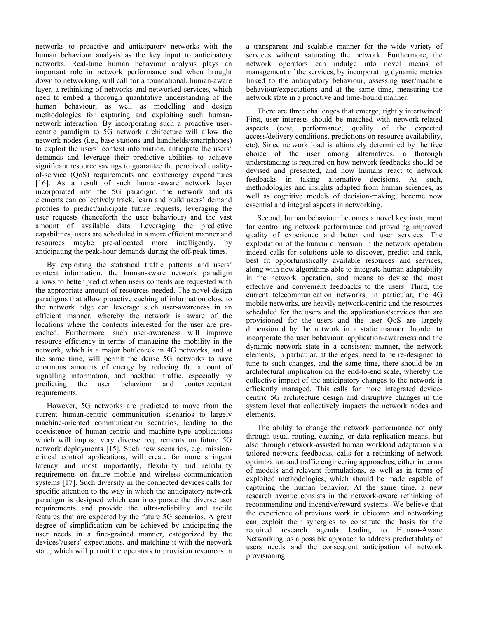networks to proactive and anticipatory networks with the human behaviour analysis as the key input to anticipatory networks. Real-time human behaviour analysis plays an important role in network performance and when brought down to networking, will call for a foundational, human-aware layer, a rethinking of networks and networked services, which need to embed a thorough quantitative understanding of the human behaviour, as well as modelling and design methodologies for capturing and exploiting such humannetwork interaction. By incorporating such a proactive usercentric paradigm to 5G network architecture will allow the network nodes (i.e., base stations and handhelds/smartphones) to exploit the users' context information, anticipate the users' demands and leverage their predictive abilities to achieve significant resource savings to guarantee the perceived qualityof-service (QoS) requirements and cost/energy expenditures [16]. As a result of such human-aware network layer incorporated into the 5G paradigm, the network and its elements can collectively track, learn and build users' demand profiles to predict/anticipate future requests, leveraging the user requests (henceforth the user behaviour) and the vast amount of available data. Leveraging the predictive capabilities, users are scheduled in a more efficient manner and resources maybe pre-allocated more intelligently, by anticipating the peak-hour demands during the off-peak times.

By exploiting the statistical traffic patterns and users' context information, the human-aware network paradigm allows to better predict when users contents are requested with the appropriate amount of resources needed. The novel design paradigms that allow proactive caching of information close to the network edge can leverage such user-awareness in an efficient manner, whereby the network is aware of the locations where the contents interested for the user are precached. Furthermore, such user-awareness will improve resource efficiency in terms of managing the mobility in the network, which is a major bottleneck in 4G networks, and at the same time, will permit the dense 5G networks to save enormous amounts of energy by reducing the amount of signalling information, and backhaul traffic, especially by predicting the user behaviour and context/content requirements.

However, 5G networks are predicted to move from the current human-centric communication scenarios to largely machine-oriented communication scenarios, leading to the coexistence of human-centric and machine-type applications which will impose very diverse requirements on future 5G network deployments [15]. Such new scenarios, e.g. missioncritical control applications, will create far more stringent latency and most importantly, flexibility and reliability requirements on future mobile and wireless communication systems [17]. Such diversity in the connected devices calls for specific attention to the way in which the anticipatory network paradigm is designed which can incorporate the diverse user requirements and provide the ultra-reliability and tactile features that are expected by the future 5G scenarios. A great degree of simplification can be achieved by anticipating the user needs in a fine-grained manner, categorized by the devices'/users' expectations, and matching it with the network state, which will permit the operators to provision resources in

a transparent and scalable manner for the wide variety of services without saturating the network. Furthermore, the network operators can indulge into novel means of management of the services, by incorporating dynamic metrics linked to the anticipatory behaviour, assessing user/machine behaviour/expectations and at the same time, measuring the network state in a proactive and time-bound manner.

There are three challenges that emerge, tightly intertwined: First, user interests should be matched with network-related aspects (cost, performance, quality of the expected access/delivery conditions, predictions on resource availability, etc). Since network load is ultimately determined by the free choice of the user among alternatives, a thorough understanding is required on how network feedbacks should be devised and presented, and how humans react to network feedbacks in taking alternative decisions. As such, methodologies and insights adapted from human sciences, as well as cognitive models of decision-making, become now essential and integral aspects in networking.

Second, human behaviour becomes a novel key instrument for controlling network performance and providing improved quality of experience and better end user services. The exploitation of the human dimension in the network operation indeed calls for solutions able to discover, predict and rank, best fit opportunistically available resources and services, along with new algorithms able to integrate human adaptability in the network operation, and means to devise the most effective and convenient feedbacks to the users. Third, the current telecommunication networks, in particular, the 4G mobile networks, are heavily network-centric and the resources scheduled for the users and the applications/services that are provisioned for the users and the user QoS are largely dimensioned by the network in a static manner. Inorder to incorporate the user behaviour, application-awareness and the dynamic network state in a consistent manner, the network elements, in particular, at the edges, need to be re-designed to tune to such changes, and the same time, there should be an architectural implication on the end-to-end scale, whereby the collective impact of the anticipatory changes to the network is efficiently managed. This calls for more integrated devicecentric 5G architecture design and disruptive changes in the system level that collectively impacts the network nodes and elements.

The ability to change the network performance not only through usual routing, caching, or data replication means, but also through network-assisted human workload adaptation via tailored network feedbacks, calls for a rethinking of network optimization and traffic engineering approaches, either in terms of models and relevant formulations, as well as in terms of exploited methodologies, which should be made capable of capturing the human behavior. At the same time, a new research avenue consists in the network-aware rethinking of recommending and incentive/reward systems. We believe that the experience of previous work in ubicomp and networking can exploit their synergies to constitute the basis for the required research agenda leading to Human-Aware Networking, as a possible approach to address predictability of users needs and the consequent anticipation of network provisioning.